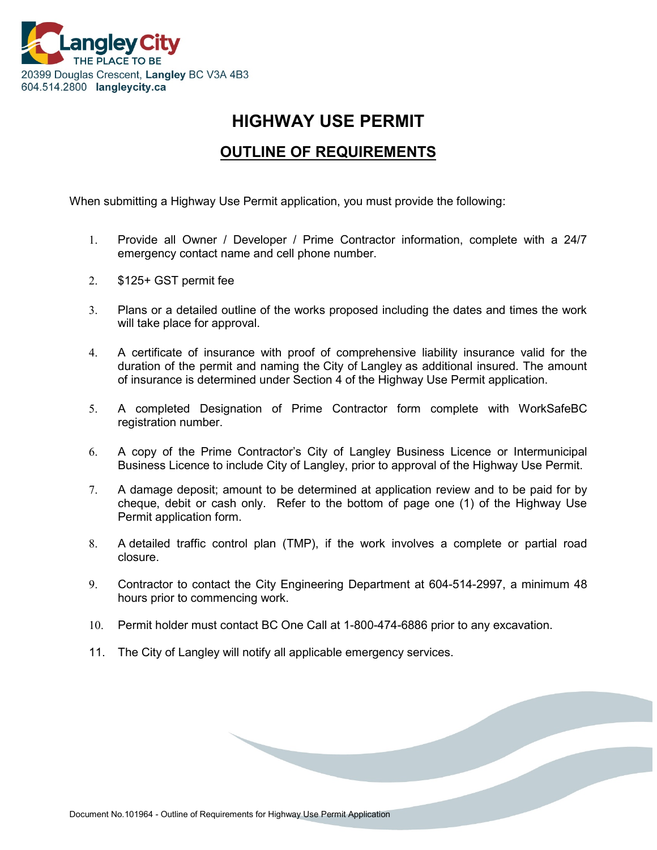

# **HIGHWAY USE PERMIT**

## **OUTLINE OF REQUIREMENTS**

When submitting a [Highway Use Permit](http://www.tol.ca/files/web_files/engineering/HowDoI/RPHUP%20Highway%20Use%20Permit%20-%20General.pdf) application, you must provide the following:

- 1. Provide all Owner / Developer / Prime Contractor information, complete with a 24/7 emergency contact name and cell phone number.
- 2. \$125+ GST permit fee
- 3. Plans or a detailed outline of the works proposed including the dates and times the work will take place for approval.
- 4. A certificate of insurance with proof of comprehensive liability insurance valid for the duration of the permit and naming the City of Langley as additional insured. The amount of insurance is determined under Section 4 of the Highway Use Permit application.
- 5. A completed Designation of Prime Contractor form complete with WorkSafeBC registration number.
- 6. A copy of the Prime Contractor's City of Langley Business Licence or Intermunicipal Business Licence to include City of Langley, prior to approval of the Highway Use Permit.
- 7. A damage deposit; amount to be determined at application review and to be paid for by cheque, debit or cash only. Refer to the bottom of page one (1) of the Highway Use Permit application form.
- 8. A detailed traffic control plan (TMP), if the work involves a complete or partial road closure.
- 9. Contractor to contact the City Engineering Department at 604-514-2997, a minimum 48 hours prior to commencing work.
- 10. Permit holder must contact BC One Call at 1-800-474-6886 prior to any excavation.
- 11. The City of Langley will notify all applicable emergency services.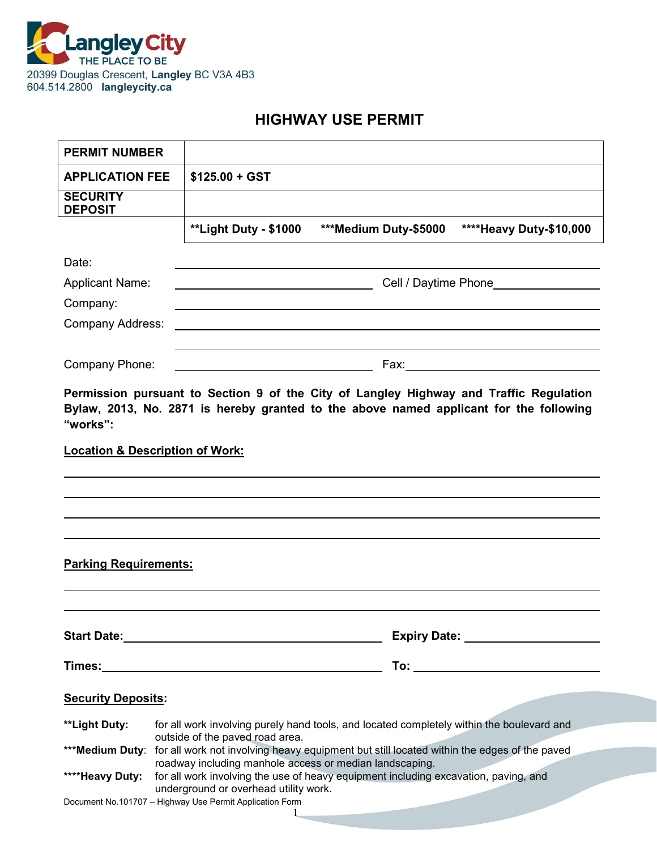

## **HIGHWAY USE PERMIT**

| <b>PERMIT NUMBER</b>              |                                                                                                                                                |
|-----------------------------------|------------------------------------------------------------------------------------------------------------------------------------------------|
| <b>APPLICATION FEE</b>            | $$125.00 + GST$                                                                                                                                |
| <b>SECURITY</b><br><b>DEPOSIT</b> |                                                                                                                                                |
|                                   | <b>**Light Duty - \$1000</b><br>**** Heavy Duty-\$10,000<br>***Medium Duty-\$5000                                                              |
| Date:                             |                                                                                                                                                |
| <b>Applicant Name:</b>            |                                                                                                                                                |
| Company:                          |                                                                                                                                                |
| <b>Company Address:</b>           |                                                                                                                                                |
| Company Phone:                    | <u> 1980 - Johann Barn, mars an t-Amerikaansk kommunist (</u>                                                                                  |
| "works":                          | <b>Location &amp; Description of Work:</b>                                                                                                     |
| <b>Parking Requirements:</b>      |                                                                                                                                                |
|                                   | Start Date: Management of the Start Date:                                                                                                      |
|                                   |                                                                                                                                                |
| <b>Security Deposits:</b>         |                                                                                                                                                |
| **Light Duty:                     | for all work involving purely hand tools, and located completely within the boulevard and                                                      |
|                                   | outside of the paved road area.<br>*** Medium Duty: for all work not involving heavy equipment but still located within the edges of the paved |
| ****Heavy Duty:                   | roadway including manhole access or median landscaping.<br>for all work involving the use of heavy equipment including excavation, paving, and |
|                                   | underground or overhead utility work.<br>Document No.101707 - Highway Use Permit Application Form<br>1                                         |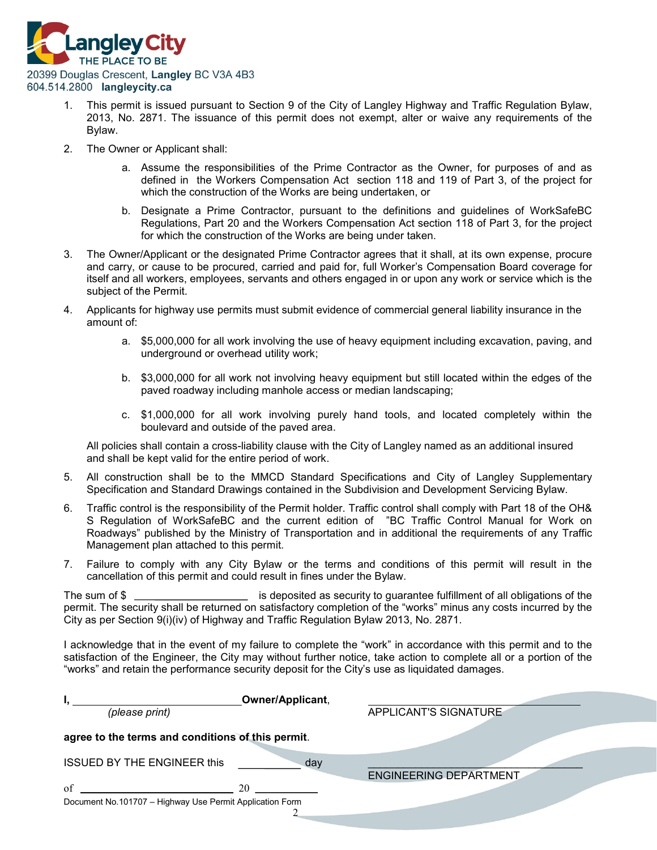

- 1. This permit is issued pursuant to Section 9 of the City of Langley Highway and Traffic Regulation Bylaw, 2013, No. 2871. The issuance of this permit does not exempt, alter or waive any requirements of the Bylaw.
- 2. The Owner or Applicant shall:
	- a. Assume the responsibilities of the Prime Contractor as the Owner, for purposes of and as defined in the Workers Compensation Act section 118 and 119 of Part 3, of the project for which the construction of the Works are being undertaken, or
	- b. Designate a Prime Contractor, pursuant to the definitions and guidelines of WorkSafeBC Regulations, Part 20 and the Workers Compensation Act section 118 of Part 3, for the project for which the construction of the Works are being under taken.
- 3. The Owner/Applicant or the designated Prime Contractor agrees that it shall, at its own expense, procure and carry, or cause to be procured, carried and paid for, full Worker's Compensation Board coverage for itself and all workers, employees, servants and others engaged in or upon any work or service which is the subject of the Permit.
- 4. Applicants for highway use permits must submit evidence of commercial general liability insurance in the amount of:
	- a. \$5,000,000 for all work involving the use of heavy equipment including excavation, paving, and underground or overhead utility work;
	- b. \$3,000,000 for all work not involving heavy equipment but still located within the edges of the paved roadway including manhole access or median landscaping;
	- c. \$1,000,000 for all work involving purely hand tools, and located completely within the boulevard and outside of the paved area.

All policies shall contain a cross-liability clause with the City of Langley named as an additional insured and shall be kept valid for the entire period of work.

- 5. All construction shall be to the MMCD Standard Specifications and City of Langley Supplementary Specification and Standard Drawings contained in the Subdivision and Development Servicing Bylaw.
- 6. Traffic control is the responsibility of the Permit holder. Traffic control shall comply with Part 18 of the OH& S Regulation of WorkSafeBC and the current edition of "BC Traffic Control Manual for Work on Roadways" published by the Ministry of Transportation and in additional the requirements of any Traffic Management plan attached to this permit.
- 7. Failure to comply with any City Bylaw or the terms and conditions of this permit will result in the cancellation of this permit and could result in fines under the Bylaw.

The sum of \$ \_\_\_\_\_\_\_\_\_\_\_\_\_\_\_\_\_\_\_\_\_\_ is deposited as security to guarantee fulfillment of all obligations of the permit. The security shall be returned on satisfactory completion of the "works" minus any costs incurred by the City as per Section 9(i)(iv) of Highway and Traffic Regulation Bylaw 2013, No. 2871.

I acknowledge that in the event of my failure to complete the "work" in accordance with this permit and to the satisfaction of the Engineer, the City may without further notice, take action to complete all or a portion of the "works" and retain the performance security deposit for the City's use as liquidated damages.

| Owner/Applicant,<br>(please print)                                   | APPLICANT'S SIGNATURE         |
|----------------------------------------------------------------------|-------------------------------|
| agree to the terms and conditions of this permit.                    |                               |
| <b>ISSUED BY THE ENGINEER this</b><br>day                            | <b>ENGINEERING DEPARTMENT</b> |
| of<br>20<br>Document No.101707 - Highway Use Permit Application Form |                               |